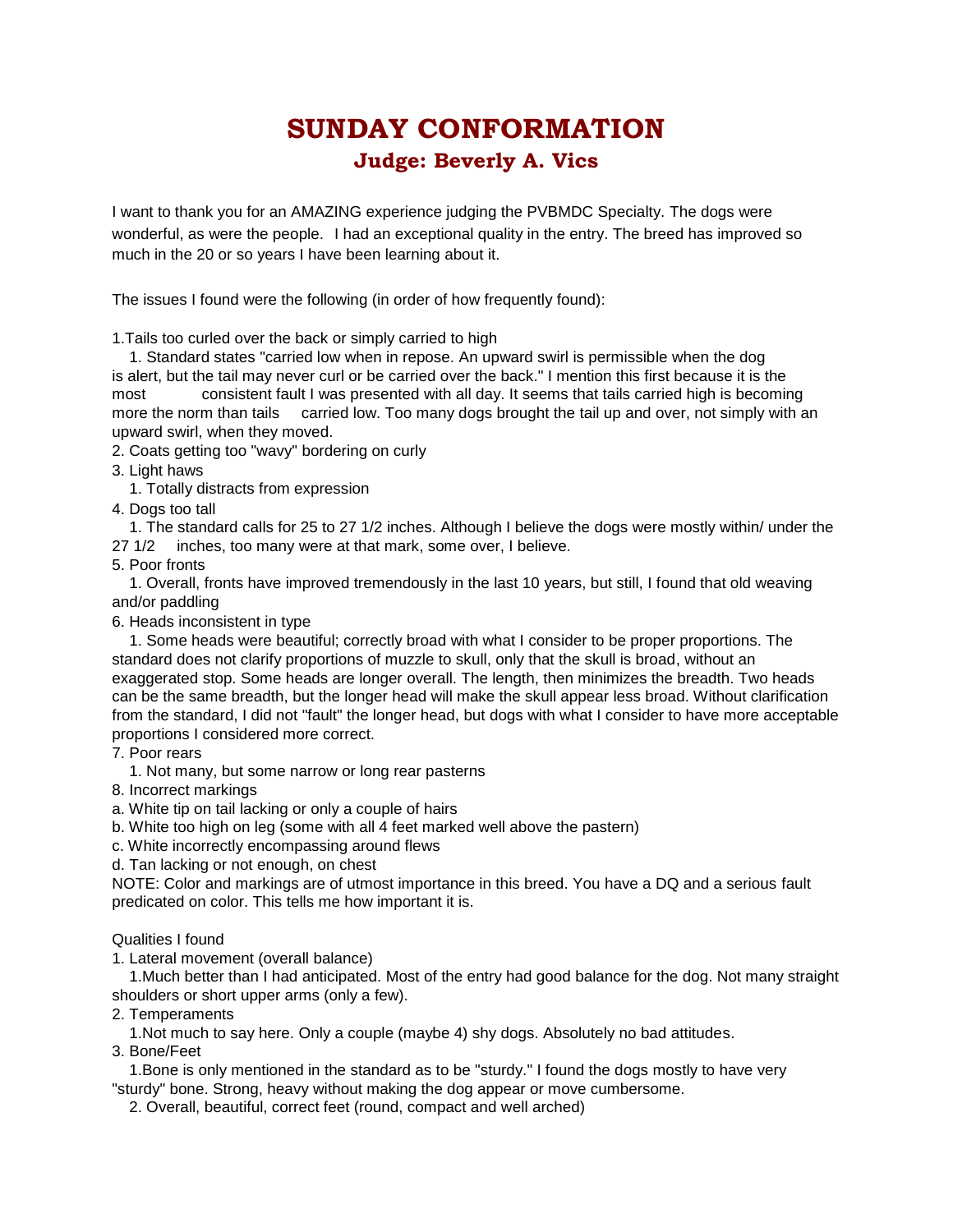## **SUNDAY CONFORMATION Judge: Beverly A. Vics**

I want to thank you for an AMAZING experience judging the PVBMDC Specialty. The dogs were wonderful, as were the people. I had an exceptional quality in the entry. The breed has improved so much in the 20 or so years I have been learning about it.

The issues I found were the following (in order of how frequently found):

1.Tails too curled over the back or simply carried to high

 1. Standard states "carried low when in repose. An upward swirl is permissible when the dog is alert, but the tail may never curl or be carried over the back." I mention this first because it is the most consistent fault I was presented with all day. It seems that tails carried high is becoming more the norm than tails carried low. Too many dogs brought the tail up and over, not simply with an upward swirl, when they moved.

2. Coats getting too "wavy" bordering on curly

3. Light haws

1. Totally distracts from expression

4. Dogs too tall

 1. The standard calls for 25 to 27 1/2 inches. Although I believe the dogs were mostly within/ under the 27 1/2 inches, too many were at that mark, some over, I believe.

5. Poor fronts

 1. Overall, fronts have improved tremendously in the last 10 years, but still, I found that old weaving and/or paddling

6. Heads inconsistent in type

 1. Some heads were beautiful; correctly broad with what I consider to be proper proportions. The standard does not clarify proportions of muzzle to skull, only that the skull is broad, without an exaggerated stop. Some heads are longer overall. The length, then minimizes the breadth. Two heads can be the same breadth, but the longer head will make the skull appear less broad. Without clarification from the standard, I did not "fault" the longer head, but dogs with what I consider to have more acceptable proportions I considered more correct.

7. Poor rears

1. Not many, but some narrow or long rear pasterns

8. Incorrect markings

a. White tip on tail lacking or only a couple of hairs

b. White too high on leg (some with all 4 feet marked well above the pastern)

c. White incorrectly encompassing around flews

d. Tan lacking or not enough, on chest

NOTE: Color and markings are of utmost importance in this breed. You have a DQ and a serious fault predicated on color. This tells me how important it is.

Qualities I found

1. Lateral movement (overall balance)

 1.Much better than I had anticipated. Most of the entry had good balance for the dog. Not many straight shoulders or short upper arms (only a few).

2. Temperaments

1.Not much to say here. Only a couple (maybe 4) shy dogs. Absolutely no bad attitudes.

3. Bone/Feet

 1.Bone is only mentioned in the standard as to be "sturdy." I found the dogs mostly to have very "sturdy" bone. Strong, heavy without making the dog appear or move cumbersome.

2. Overall, beautiful, correct feet (round, compact and well arched)